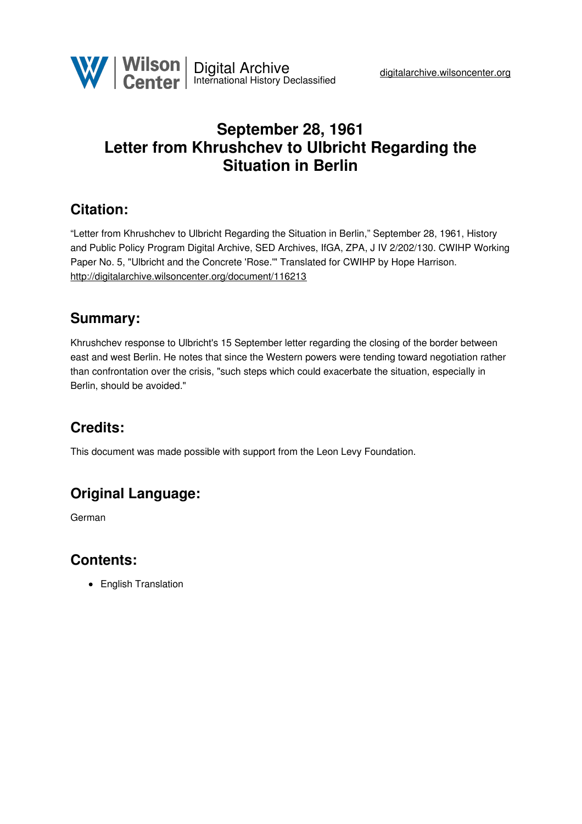

# **September 28, 1961 Letter from Khrushchev to Ulbricht Regarding the Situation in Berlin**

## **Citation:**

"Letter from Khrushchev to Ulbricht Regarding the Situation in Berlin," September 28, 1961, History and Public Policy Program Digital Archive, SED Archives, IfGA, ZPA, J IV 2/202/130. CWIHP Working Paper No. 5, "Ulbricht and the Concrete 'Rose.'" Translated for CWIHP by Hope Harrison. <http://digitalarchive.wilsoncenter.org/document/116213>

## **Summary:**

Khrushchev response to Ulbricht's 15 September letter regarding the closing of the border between east and west Berlin. He notes that since the Western powers were tending toward negotiation rather than confrontation over the crisis, "such steps which could exacerbate the situation, especially in Berlin, should be avoided."

# **Credits:**

This document was made possible with support from the Leon Levy Foundation.

# **Original Language:**

German

## **Contents:**

• English Translation